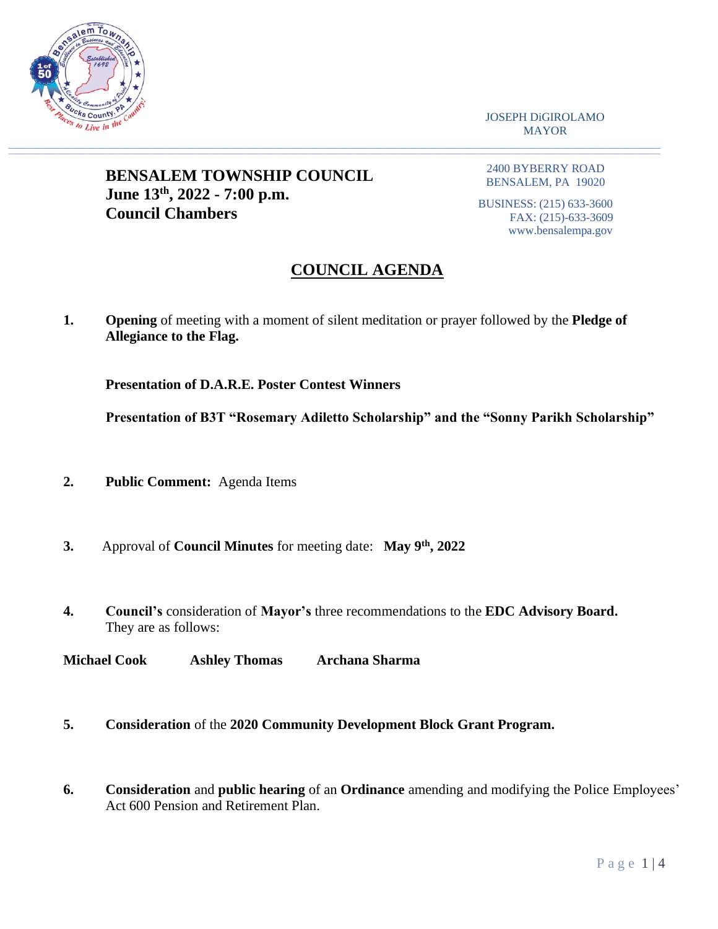

JOSEPH DiGIROLAMO MAYOR

## **BENSALEM TOWNSHIP COUNCIL June 13th, 2022 - 7:00 p.m. Council Chambers**

2400 BYBERRY ROAD BENSALEM, PA 19020

BUSINESS: (215) 633-3600 FAX: (215)-633-3609 www.bensalempa.gov

# **COUNCIL AGENDA**

**1. Opening** of meeting with a moment of silent meditation or prayer followed by the **Pledge of Allegiance to the Flag.**

 $\_$  , and the set of the set of the set of the set of the set of the set of the set of the set of the set of the set of the set of the set of the set of the set of the set of the set of the set of the set of the set of th

**Presentation of D.A.R.E. Poster Contest Winners**

**Presentation of B3T "Rosemary Adiletto Scholarship" and the "Sonny Parikh Scholarship"**

- **2. Public Comment:** Agenda Items
- **3.** Approval of **Council Minutes** for meeting date: **May 9th , 2022**
- **4. Council's** consideration of **Mayor's** three recommendations to the **EDC Advisory Board.** They are as follows:

**Michael Cook Ashley Thomas Archana Sharma**

- **5. Consideration** of the **2020 Community Development Block Grant Program.**
- **6. Consideration** and **public hearing** of an **Ordinance** amending and modifying the Police Employees' Act 600 Pension and Retirement Plan.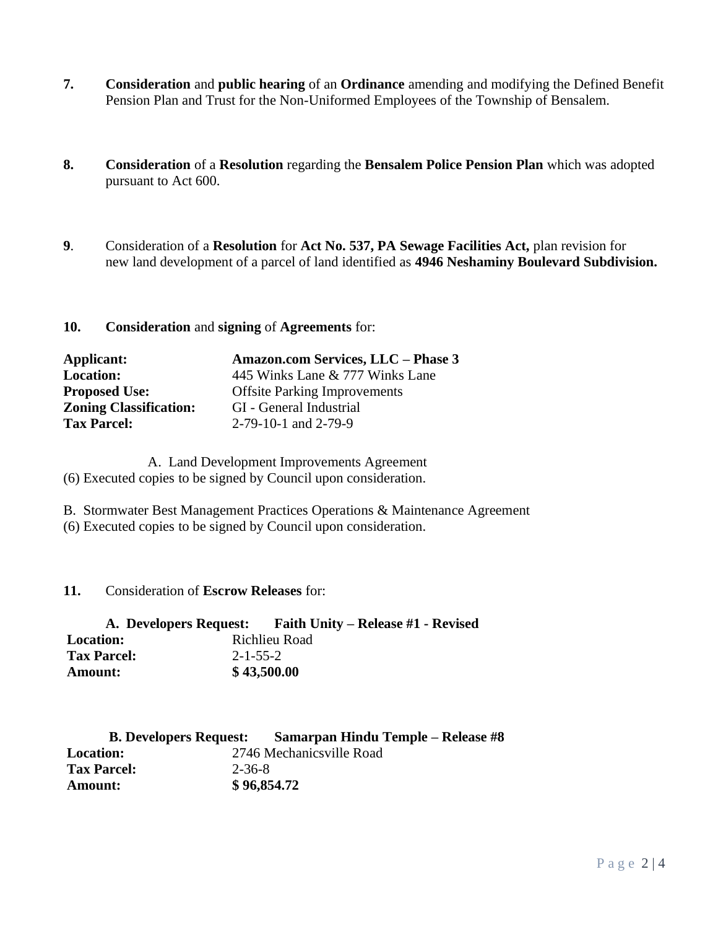- **7. Consideration** and **public hearing** of an **Ordinance** amending and modifying the Defined Benefit Pension Plan and Trust for the Non-Uniformed Employees of the Township of Bensalem.
- **8. Consideration** of a **Resolution** regarding the **Bensalem Police Pension Plan** which was adopted pursuant to Act 600.
- **9**. Consideration of a **Resolution** for **Act No. 537, PA Sewage Facilities Act,** plan revision for new land development of a parcel of land identified as **4946 Neshaminy Boulevard Subdivision.**

#### **10. Consideration** and **signing** of **Agreements** for:

| Applicant:                    | Amazon.com Services, LLC - Phase 3  |  |
|-------------------------------|-------------------------------------|--|
| <b>Location:</b>              | 445 Winks Lane & 777 Winks Lane     |  |
| <b>Proposed Use:</b>          | <b>Offsite Parking Improvements</b> |  |
| <b>Zoning Classification:</b> | GI - General Industrial             |  |
| <b>Tax Parcel:</b>            | 2-79-10-1 and 2-79-9                |  |

A. Land Development Improvements Agreement (6) Executed copies to be signed by Council upon consideration.

B. Stormwater Best Management Practices Operations & Maintenance Agreement

(6) Executed copies to be signed by Council upon consideration.

 **11.** Consideration of **Escrow Releases** for:

| A. Developers Request: |                  | <b>Faith Unity – Release #1 - Revised</b> |
|------------------------|------------------|-------------------------------------------|
| <b>Location:</b>       |                  | Richlieu Road                             |
| <b>Tax Parcel:</b>     | $2 - 1 - 55 - 2$ |                                           |
| <b>Amount:</b>         |                  | \$43,500.00                               |

| <b>B. Developers Request:</b> |        | <b>Samarpan Hindu Temple – Release #8</b> |
|-------------------------------|--------|-------------------------------------------|
| <b>Location:</b>              |        | 2746 Mechanicsville Road                  |
| <b>Tax Parcel:</b>            | 2-36-8 |                                           |
| <b>Amount:</b>                |        | \$96,854.72                               |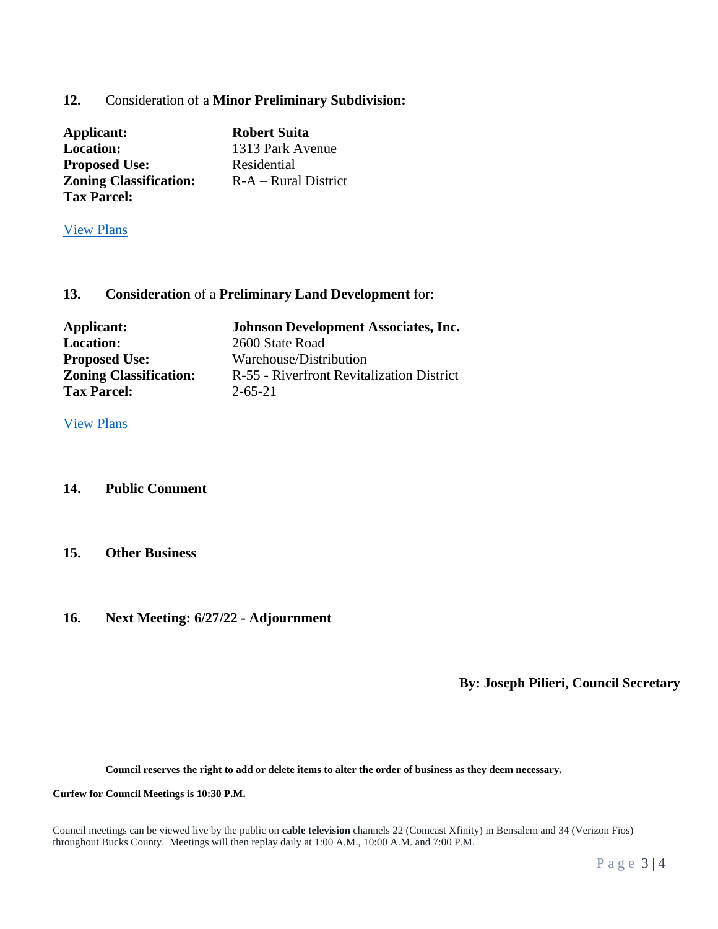### **12.** Consideration of a **Minor Preliminary Subdivision:**

| Applicant:                    | <b>Robert Suita</b>    |
|-------------------------------|------------------------|
| <b>Location:</b>              | 1313 Park Avenue       |
| <b>Proposed Use:</b>          | Residential            |
| <b>Zoning Classification:</b> | $R-A - Rural District$ |
| <b>Tax Parcel:</b>            |                        |

[View Plans](https://www.bensalempa.gov/uploads/2/4/9/3/24936441/1313_park_ave_-_minor_sd__robert_siuta__003_.pdf)

#### **13. Consideration** of a **Preliminary Land Development** for:

| Applicant:                    | <b>Johnson Development Associates, Inc.</b> |  |
|-------------------------------|---------------------------------------------|--|
| <b>Location:</b>              | 2600 State Road                             |  |
| <b>Proposed Use:</b>          | Warehouse/Distribution                      |  |
| <b>Zoning Classification:</b> | R-55 - Riverfront Revitalization District   |  |
| <b>Tax Parcel:</b>            | $2 - 65 - 21$                               |  |

[View Plans](https://www.bensalempa.gov/uploads/2/4/9/3/24936441/state_rd_2600_revised__4__-_johnson_development.pdf)

#### **14. Public Comment**

#### **15. Other Business**

#### **16. Next Meeting: 6/27/22 - Adjournment**

**By: Joseph Pilieri, Council Secretary**

**Council reserves the right to add or delete items to alter the order of business as they deem necessary.**

**Curfew for Council Meetings is 10:30 P.M.** 

Council meetings can be viewed live by the public on **cable television** channels 22 (Comcast Xfinity) in Bensalem and 34 (Verizon Fios) throughout Bucks County. Meetings will then replay daily at 1:00 A.M., 10:00 A.M. and 7:00 P.M.